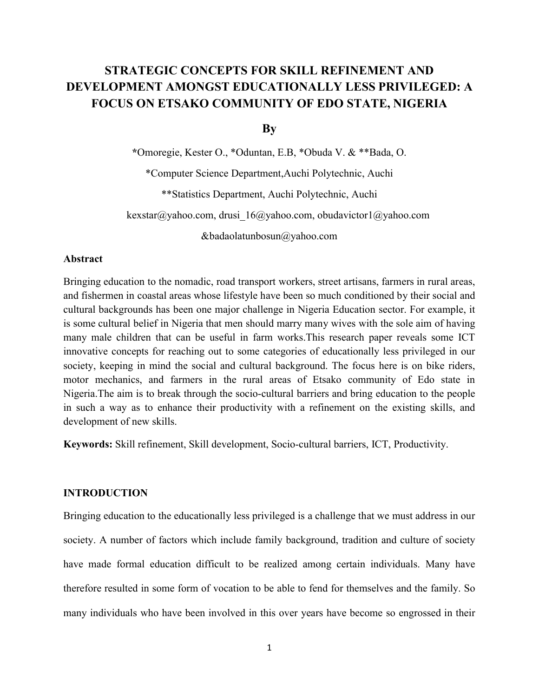# **STRATEGIC CONCEPTS FOR SKILL REFINEMENT AND DEVELOPMENT AMONGST EDUCATIONALLY LESS PRIVILEGED: A FOCUS ON ETSAKO COMMUNITY OF EDO STATE, NIGERIA**

**By**

**\***Omoregie, Kester O., \*Oduntan, E.B, \*Obuda V. & \*\*Bada, O. \*Computer Science Department,Auchi Polytechnic, Auchi \*\*Statistics Department, Auchi Polytechnic, Auchi kexstar@yahoo.com, drusi\_16@yahoo.com, obudavictor1@yahoo.com &badaolatunbosun@yahoo.com

# **Abstract**

Bringing education to the nomadic, road transport workers, street artisans, farmers in rural areas, and fishermen in coastal areas whose lifestyle have been so much conditioned by their social and cultural backgrounds has been one major challenge in Nigeria Education sector. For example, it is some cultural belief in Nigeria that men should marry many wives with the sole aim of having many male children that can be useful in farm works.This research paper reveals some ICT innovative concepts for reaching out to some categories of educationally less privileged in our society, keeping in mind the social and cultural background. The focus here is on bike riders, motor mechanics, and farmers in the rural areas of Etsako community of Edo state in Nigeria.The aim is to break through the socio-cultural barriers and bring education to the people in such a way as to enhance their productivity with a refinement on the existing skills, and development of new skills.

**Keywords:** Skill refinement, Skill development, Socio-cultural barriers, ICT, Productivity.

# **INTRODUCTION**

Bringing education to the educationally less privileged is a challenge that we must address in our society. A number of factors which include family background, tradition and culture of society have made formal education difficult to be realized among certain individuals. Many have therefore resulted in some form of vocation to be able to fend for themselves and the family. So many individuals who have been involved in this over years have become so engrossed in their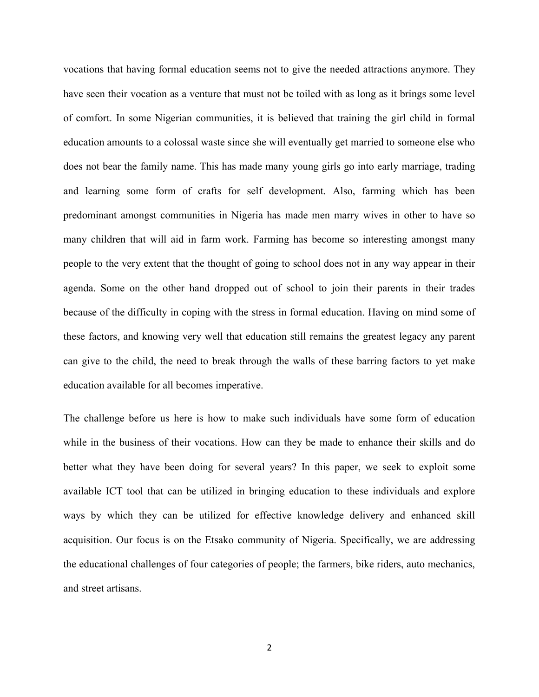vocations that having formal education seems not to give the needed attractions anymore. They have seen their vocation as a venture that must not be toiled with as long as it brings some level of comfort. In some Nigerian communities, it is believed that training the girl child in formal education amounts to a colossal waste since she will eventually get married to someone else who does not bear the family name. This has made many young girls go into early marriage, trading and learning some form of crafts for self development. Also, farming which has been predominant amongst communities in Nigeria has made men marry wives in other to have so many children that will aid in farm work. Farming has become so interesting amongst many people to the very extent that the thought of going to school does not in any way appear in their agenda. Some on the other hand dropped out of school to join their parents in their trades because of the difficulty in coping with the stress in formal education. Having on mind some of these factors, and knowing very well that education still remains the greatest legacy any parent can give to the child, the need to break through the walls of these barring factors to yet make education available for all becomes imperative.

The challenge before us here is how to make such individuals have some form of education while in the business of their vocations. How can they be made to enhance their skills and do better what they have been doing for several years? In this paper, we seek to exploit some available ICT tool that can be utilized in bringing education to these individuals and explore ways by which they can be utilized for effective knowledge delivery and enhanced skill acquisition. Our focus is on the Etsako community of Nigeria. Specifically, we are addressing the educational challenges of four categories of people; the farmers, bike riders, auto mechanics, and street artisans.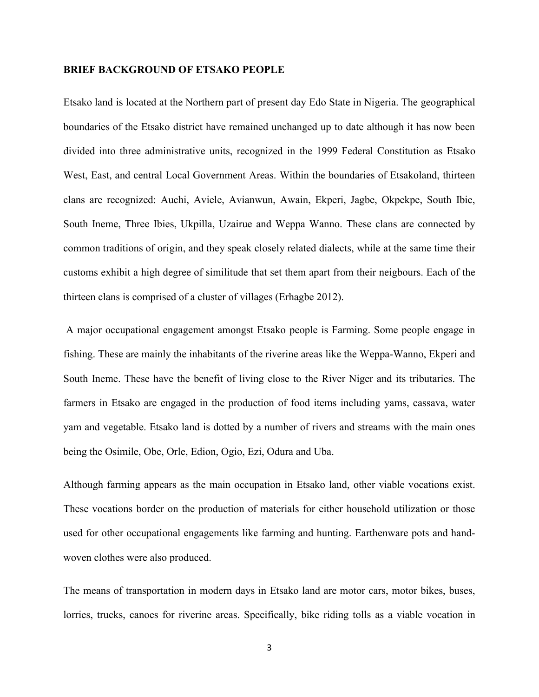#### **BRIEF BACKGROUND OF ETSAKO PEOPLE**

Etsako land is located at the Northern part of present day Edo State in Nigeria. The geographical boundaries of the Etsako district have remained unchanged up to date although it has now been divided into three administrative units, recognized in the 1999 Federal Constitution as Etsako West, East, and central Local Government Areas. Within the boundaries of Etsakoland, thirteen clans are recognized: Auchi, Aviele, Avianwun, Awain, Ekperi, Jagbe, Okpekpe, South Ibie, South Ineme, Three Ibies, Ukpilla, Uzairue and Weppa Wanno. These clans are connected by common traditions of origin, and they speak closely related dialects, while at the same time their customs exhibit a high degree of similitude that set them apart from their neigbours. Each of the thirteen clans is comprised of a cluster of villages (Erhagbe 2012).

A major occupational engagement amongst Etsako people is Farming. Some people engage in fishing. These are mainly the inhabitants of the riverine areas like the Weppa-Wanno, Ekperi and South Ineme. These have the benefit of living close to the River Niger and its tributaries. The farmers in Etsako are engaged in the production of food items including yams, cassava, water yam and vegetable. Etsako land is dotted by a number of rivers and streams with the main ones being the Osimile, Obe, Orle, Edion, Ogio, Ezi, Odura and Uba.

Although farming appears as the main occupation in Etsako land, other viable vocations exist. These vocations border on the production of materials for either household utilization or those used for other occupational engagements like farming and hunting. Earthenware pots and handwoven clothes were also produced.

The means of transportation in modern days in Etsako land are motor cars, motor bikes, buses, lorries, trucks, canoes for riverine areas. Specifically, bike riding tolls as a viable vocation in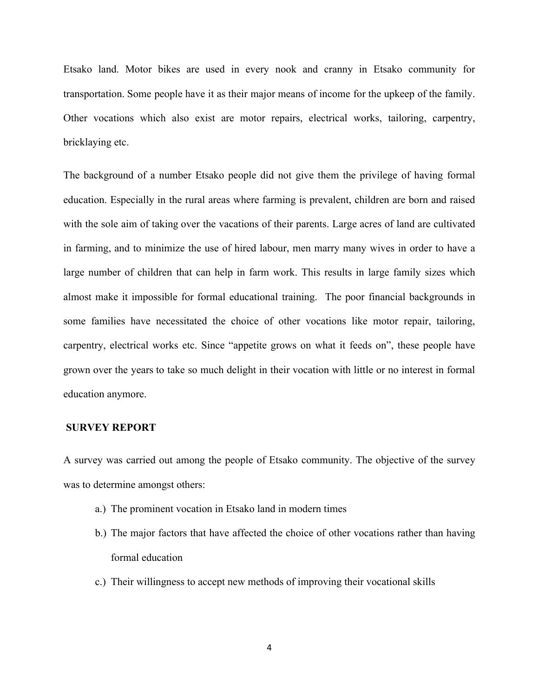Etsako land. Motor bikes are used in every nook and cranny in Etsako community for transportation. Some people have it as their major means of income for the upkeep of the family. Other vocations which also exist are motor repairs, electrical works, tailoring, carpentry, bricklaying etc.

The background of a number Etsako people did not give them the privilege of having formal education. Especially in the rural areas where farming is prevalent, children are born and raised with the sole aim of taking over the vacations of their parents. Large acres of land are cultivated in farming, and to minimize the use of hired labour, men marry many wives in order to have a large number of children that can help in farm work. This results in large family sizes which almost make it impossible for formal educational training. The poor financial backgrounds in some families have necessitated the choice of other vocations like motor repair, tailoring, carpentry, electrical works etc. Since "appetite grows on what it feeds on", these people have grown over the years to take so much delight in their vocation with little or no interest in formal education anymore.

# **SURVEY REPORT**

A survey was carried out among the people of Etsako community. The objective of the survey was to determine amongst others:

- a.) The prominent vocation in Etsako land in modern times
- b.) The major factors that have affected the choice of other vocations rather than having formal education
- c.) Their willingness to accept new methods of improving their vocational skills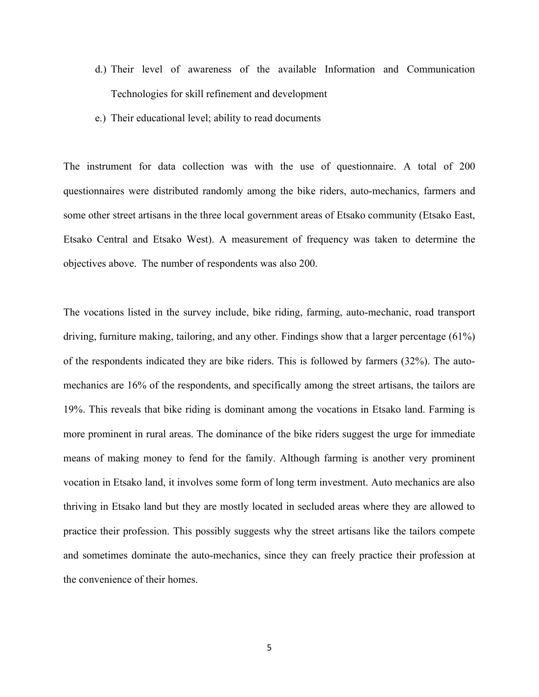- d.) Their level of awareness of the available Information and Communication Technologies for skill refinement and development
- e.) Their educational level; ability to read documents

The instrument for data collection was with the use of questionnaire. A total of 200 questionnaires were distributed randomly among the bike riders, auto-mechanics, farmers and some other street artisans in the three local government areas of Etsako community (Etsako East, Etsako Central and Etsako West). A measurement of frequency was taken to determine the objectives above. The number of respondents was also 200.

The vocations listed in the survey include, bike riding, farming, auto-mechanic, road transport driving, furniture making, tailoring, and any other. Findings show that a larger percentage (61%) of the respondents indicated they are bike riders. This is followed by farmers (32%). The automechanics are 16% of the respondents, and specifically among the street artisans, the tailors are 19%. This reveals that bike riding is dominant among the vocations in Etsako land. Farming is more prominent in rural areas. The dominance of the bike riders suggest the urge for immediate means of making money to fend for the family. Although farming is another very prominent vocation in Etsako land, it involves some form of long term investment. Auto mechanics are also thriving in Etsako land but they are mostly located in secluded areas where they are allowed to practice their profession. This possibly suggests why the street artisans like the tailors compete and sometimes dominate the auto-mechanics, since they can freely practice their profession at the convenience of their homes.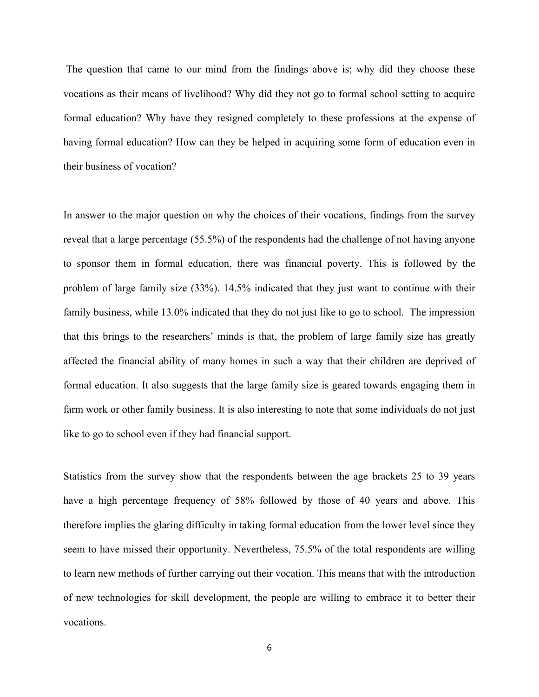The question that came to our mind from the findings above is; why did they choose these vocations as their means of livelihood? Why did they not go to formal school setting to acquire formal education? Why have they resigned completely to these professions at the expense of having formal education? How can they be helped in acquiring some form of education even in their business of vocation?

In answer to the major question on why the choices of their vocations, findings from the survey reveal that a large percentage (55.5%) of the respondents had the challenge of not having anyone to sponsor them in formal education, there was financial poverty. This is followed by the problem of large family size (33%). 14.5% indicated that they just want to continue with their family business, while 13.0% indicated that they do not just like to go to school. The impression that this brings to the researchers' minds is that, the problem of large family size has greatly affected the financial ability of many homes in such a way that their children are deprived of formal education. It also suggests that the large family size is geared towards engaging them in farm work or other family business. It is also interesting to note that some individuals do not just like to go to school even if they had financial support.

Statistics from the survey show that the respondents between the age brackets 25 to 39 years have a high percentage frequency of 58% followed by those of 40 years and above. This therefore implies the glaring difficulty in taking formal education from the lower level since they seem to have missed their opportunity. Nevertheless, 75.5% of the total respondents are willing to learn new methods of further carrying out their vocation. This means that with the introduction of new technologies for skill development, the people are willing to embrace it to better their vocations.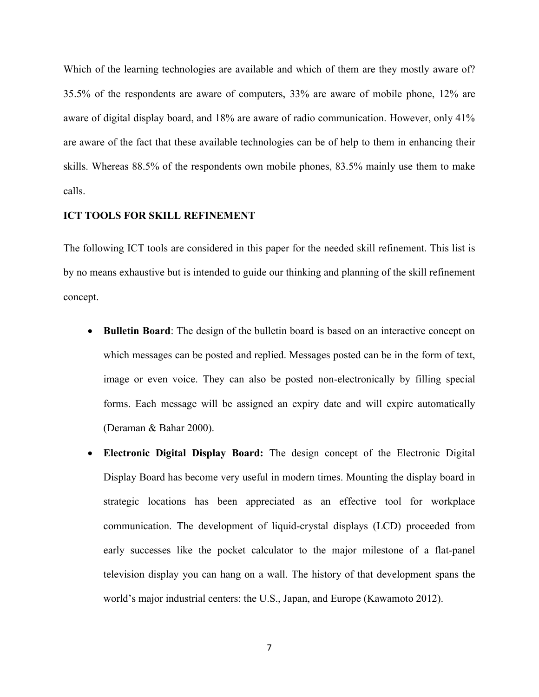Which of the learning technologies are available and which of them are they mostly aware of? 35.5% of the respondents are aware of computers, 33% are aware of mobile phone, 12% are aware of digital display board, and 18% are aware of radio communication. However, only 41% are aware of the fact that these available technologies can be of help to them in enhancing their skills. Whereas 88.5% of the respondents own mobile phones, 83.5% mainly use them to make calls.

# **ICT TOOLS FOR SKILL REFINEMENT**

The following ICT tools are considered in this paper for the needed skill refinement. This list is by no means exhaustive but is intended to guide our thinking and planning of the skill refinement concept.

- ∑ **Bulletin Board**: The design of the bulletin board is based on an interactive concept on which messages can be posted and replied. Messages posted can be in the form of text, image or even voice. They can also be posted non-electronically by filling special forms. Each message will be assigned an expiry date and will expire automatically (Deraman & Bahar 2000).
- ∑ **Electronic Digital Display Board:** The design concept of the Electronic Digital Display Board has become very useful in modern times. Mounting the display board in strategic locations has been appreciated as an effective tool for workplace communication. The development of liquid-crystal displays (LCD) proceeded from early successes like the pocket calculator to the major milestone of a flat-panel television display you can hang on a wall. The history of that development spans the world's major industrial centers: the U.S., Japan, and Europe (Kawamoto 2012).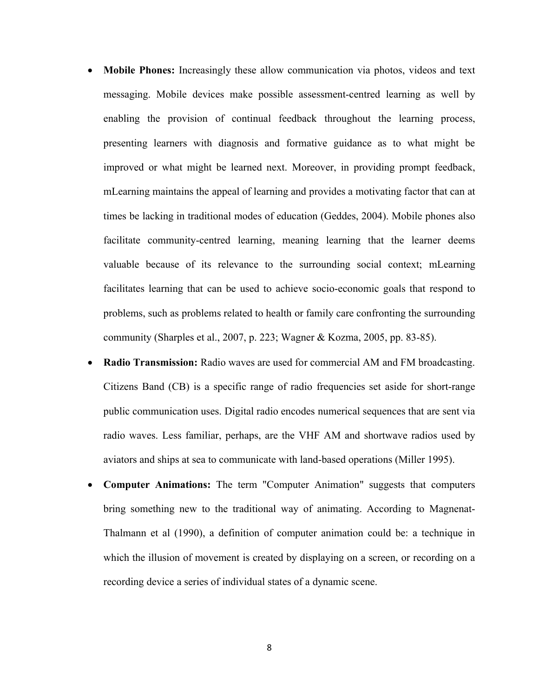- **Mobile Phones:** Increasingly these allow communication via photos, videos and text messaging. Mobile devices make possible assessment-centred learning as well by enabling the provision of continual feedback throughout the learning process, presenting learners with diagnosis and formative guidance as to what might be improved or what might be learned next. Moreover, in providing prompt feedback, mLearning maintains the appeal of learning and provides a motivating factor that can at times be lacking in traditional modes of education (Geddes, 2004). Mobile phones also facilitate community-centred learning, meaning learning that the learner deems valuable because of its relevance to the surrounding social context; mLearning facilitates learning that can be used to achieve socio-economic goals that respond to problems, such as problems related to health or family care confronting the surrounding community (Sharples et al., 2007, p. 223; Wagner & Kozma, 2005, pp. 83-85).
- ∑ **Radio Transmission:** Radio waves are used for commercial AM and FM broadcasting. Citizens Band (CB) is a specific range of radio frequencies set aside for short-range public communication uses. Digital radio encodes numerical sequences that are sent via radio waves. Less familiar, perhaps, are the VHF AM and shortwave radios used by aviators and ships at sea to communicate with land-based operations (Miller 1995).
- ∑ **Computer Animations:** The term "Computer Animation" suggests that computers bring something new to the traditional way of animating. According to Magnenat-Thalmann et al (1990), a definition of computer animation could be: a technique in which the illusion of movement is created by displaying on a screen, or recording on a recording device a series of individual states of a dynamic scene.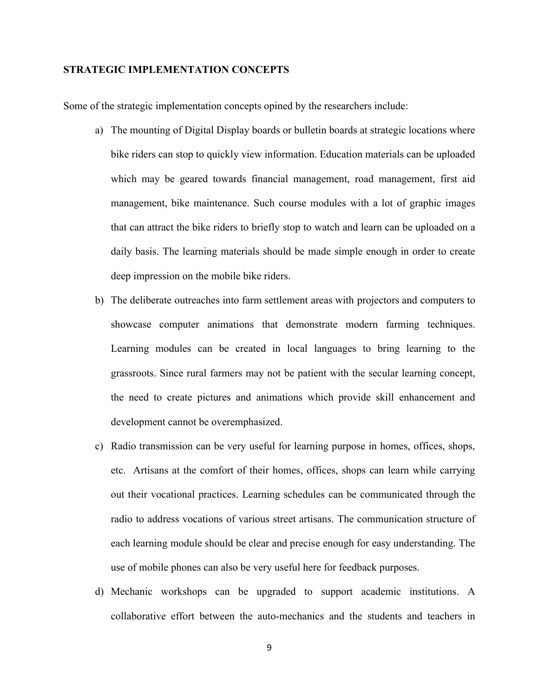# **STRATEGIC IMPLEMENTATION CONCEPTS**

Some of the strategic implementation concepts opined by the researchers include:

- a) The mounting of Digital Display boards or bulletin boards at strategic locations where bike riders can stop to quickly view information. Education materials can be uploaded which may be geared towards financial management, road management, first aid management, bike maintenance. Such course modules with a lot of graphic images that can attract the bike riders to briefly stop to watch and learn can be uploaded on a daily basis. The learning materials should be made simple enough in order to create deep impression on the mobile bike riders.
- b) The deliberate outreaches into farm settlement areas with projectors and computers to showcase computer animations that demonstrate modern farming techniques. Learning modules can be created in local languages to bring learning to the grassroots. Since rural farmers may not be patient with the secular learning concept, the need to create pictures and animations which provide skill enhancement and development cannot be overemphasized.
- c) Radio transmission can be very useful for learning purpose in homes, offices, shops, etc. Artisans at the comfort of their homes, offices, shops can learn while carrying out their vocational practices. Learning schedules can be communicated through the radio to address vocations of various street artisans. The communication structure of each learning module should be clear and precise enough for easy understanding. The use of mobile phones can also be very useful here for feedback purposes.
- d) Mechanic workshops can be upgraded to support academic institutions. A collaborative effort between the auto-mechanics and the students and teachers in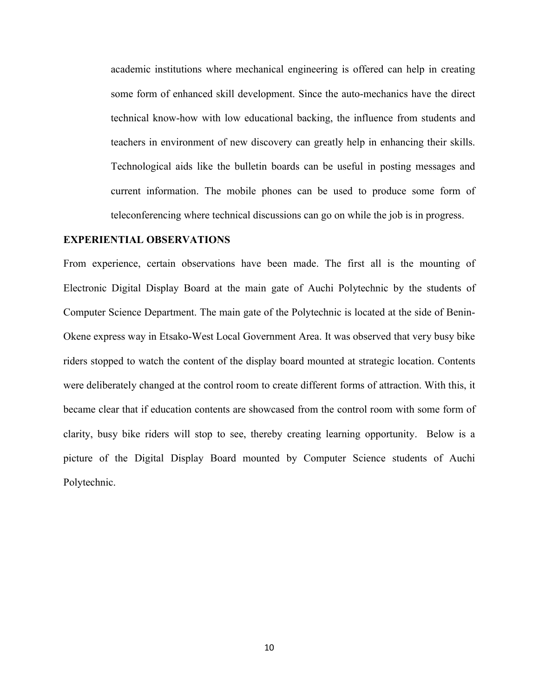academic institutions where mechanical engineering is offered can help in creating some form of enhanced skill development. Since the auto-mechanics have the direct technical know-how with low educational backing, the influence from students and teachers in environment of new discovery can greatly help in enhancing their skills. Technological aids like the bulletin boards can be useful in posting messages and current information. The mobile phones can be used to produce some form of teleconferencing where technical discussions can go on while the job is in progress.

#### **EXPERIENTIAL OBSERVATIONS**

From experience, certain observations have been made. The first all is the mounting of Electronic Digital Display Board at the main gate of Auchi Polytechnic by the students of Computer Science Department. The main gate of the Polytechnic is located at the side of Benin-Okene express way in Etsako-West Local Government Area. It was observed that very busy bike riders stopped to watch the content of the display board mounted at strategic location. Contents were deliberately changed at the control room to create different forms of attraction. With this, it became clear that if education contents are showcased from the control room with some form of clarity, busy bike riders will stop to see, thereby creating learning opportunity. Below is a picture of the Digital Display Board mounted by Computer Science students of Auchi Polytechnic.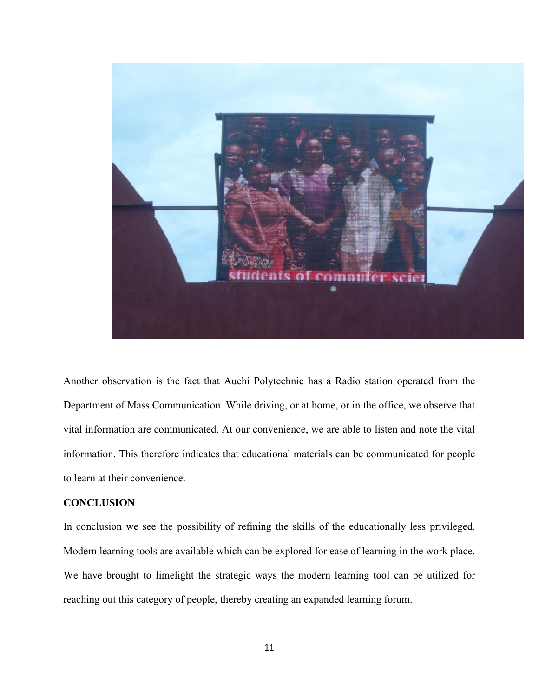

Another observation is the fact that Auchi Polytechnic has a Radio station operated from the Department of Mass Communication. While driving, or at home, or in the office, we observe that vital information are communicated. At our convenience, we are able to listen and note the vital information. This therefore indicates that educational materials can be communicated for people to learn at their convenience.

#### **CONCLUSION**

In conclusion we see the possibility of refining the skills of the educationally less privileged. Modern learning tools are available which can be explored for ease of learning in the work place. We have brought to limelight the strategic ways the modern learning tool can be utilized for reaching out this category of people, thereby creating an expanded learning forum.